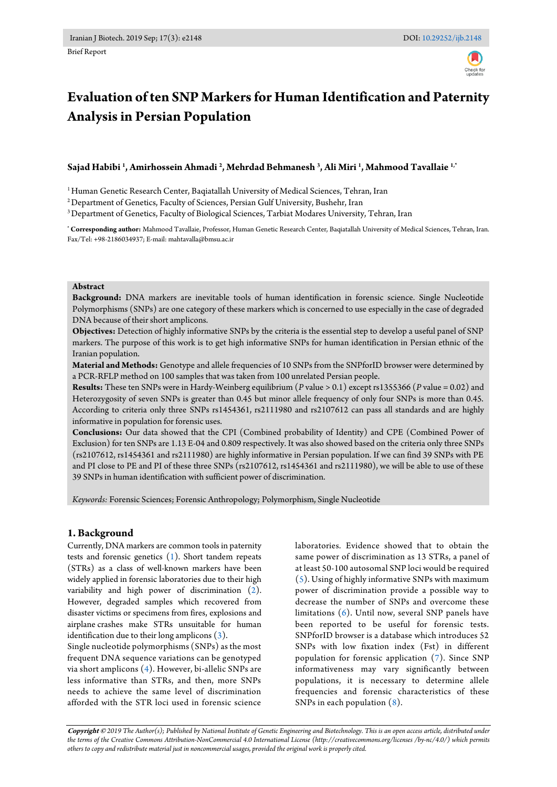

# **Evaluation of ten SNP Markers for Human Identification and Paternity Analysis in Persian Population**

**Sajad Habibi <sup>1</sup> , Amirhossein Ahmadi <sup>2</sup> , Mehrdad Behmanesh <sup>3</sup> , Ali Miri <sup>1</sup> , Mahmood Tavallaie 1,\***

<sup>1</sup> Human Genetic Research Center, Bagiatallah University of Medical Sciences, Tehran, Iran

<sup>2</sup> Department of Genetics, Faculty of Sciences, Persian Gulf University, Bushehr, Iran

<sup>3</sup> Department of Genetics, Faculty of Biological Sciences, Tarbiat Modares University, Tehran, Iran

**\* Corresponding author:** Mahmood Tavallaie, Professor, Human Genetic Research Center, Baqiatallah University of Medical Sciences, Tehran, Iran. Fax/Tel: +98-2186034937; E-mail: mahtavalla@bmsu.ac.ir

#### **Abstract**

**Background:** DNA markers are inevitable tools of human identification in forensic science. Single Nucleotide Polymorphisms (SNPs) are one category of these markers which is concerned to use especially in the case of degraded DNA because of their short amplicons.

**Objectives:** Detection of highly informative SNPs by the criteria is the essential step to develop a useful panel of SNP markers. The purpose of this work is to get high informative SNPs for human identification in Persian ethnic of the Iranian population.

**Material and Methods:** Genotype and allele frequencies of 10 SNPs from the SNPforID browser were determined by a PCR-RFLP method on 100 samples that was taken from 100 unrelated Persian people.

**Results:** These ten SNPs were in Hardy-Weinberg equilibrium (*P* value > 0.1) except rs1355366 (*P* value = 0.02) and Heterozygosity of seven SNPs is greater than 0.45 but minor allele frequency of only four SNPs is more than 0.45. According to criteria only three SNPs rs1454361, rs2111980 and rs2107612 can pass all standards and are highly informative in population for forensic uses.

**Conclusions:** Our data showed that the CPI (Combined probability of Identity) and CPE (Combined Power of Exclusion) for ten SNPs are 1.13 E-04 and 0.809 respectively. It was also showed based on the criteria only three SNPs (rs2107612, rs1454361 and rs2111980) are highly informative in Persian population. If we can find 39 SNPs with PE and PI close to PE and PI of these three SNPs (rs2107612, rs1454361 and rs2111980), we will be able to use of these 39 SNPs in human identification with sufficient power of discrimination.

*Keywords:* Forensic Sciences; Forensic Anthropology; Polymorphism, Single Nucleotide

## **1. Background**

Currently, DNA markers are common tools in paternity tests and forensic genetics [\(1\)](#page-3-0). Short tandem repeats (STRs) as a class of well-known markers have been widely applied in forensic laboratories due to their high variability and high power of discrimination [\(2\)](#page-3-1). However, degraded samples which recovered from disaster victims or specimens from fires, explosions and airplane crashes make STRs unsuitable for human identification due to their long amplicons [\(3\)](#page-3-2).

Single nucleotide polymorphisms (SNPs) as the most frequent DNA sequence variations can be genotyped via short amplicons [\(4\)](#page-3-3). However, bi-allelic SNPs are less informative than STRs, and then, more SNPs needs to achieve the same level of discrimination afforded with the STR loci used in forensic science

laboratories. Evidence showed that to obtain the same power of discrimination as 13 STRs, a panel of at least 50-100 autosomal SNP loci would be required [\(5\)](#page-3-4). Using of highly informative SNPs with maximum power of discrimination provide a possible way to decrease the number of SNPs and overcome these limitations  $(6)$ . Until now, several SNP panels have been reported to be useful for forensic tests. SNPforID browser is a database which introduces 52 SNPs with low fixation index (Fst) in different population for forensic application [\(7\)](#page-3-6). Since SNP informativeness may vary significantly between populations, it is necessary to determine allele frequencies and forensic characteristics of these SNPs in each population [\(8\)](#page-3-7).

**Copyright ©** *2019 The Author(s); Published by National Institute of Genetic Engineering and Biotechnology. This is an open access article, distributed under the terms of the Creative Commons Attribution-NonCommercial 4.0 International License (http://creativecommons.org/licenses /by-nc/4.0/) which permits others to copy and redistribute material just in noncommercial usages, provided the original work is properly cited.*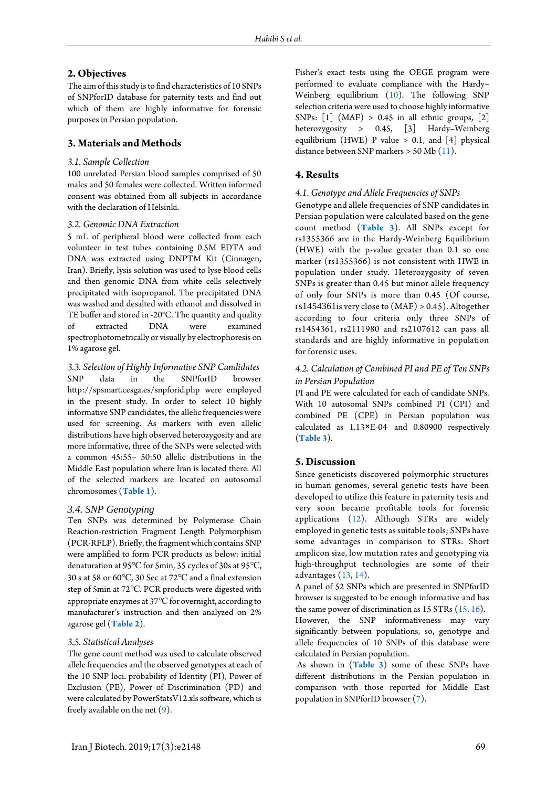## **2. Objectives**

The aim of this study is to find characteristics of 10 SNPs of SNPforID database for paternity tests and find out which of them are highly informative for forensic purposes in Persian population.

## **3. Materials and Methods**

### *3.1. Sample Collection*

100 unrelated Persian blood samples comprised of 50 males and 50 females were collected. Written informed consent was obtained from all subjects in accordance with the declaration of Helsinki.

#### *3.2. Genomic DNA Extraction*

5 mL of peripheral blood were collected from each volunteer in test tubes containing 0.5M EDTA and DNA was extracted using DNPTM Kit (Cinnagen, Iran). Briefly, lysis solution was used to lyse blood cells and then genomic DNA from white cells selectively precipitated with isopropanol. The precipitated DNA was washed and desalted with ethanol and dissolved in TE buffer and stored in -20°C. The quantity and quality of extracted DNA were examined spectrophotometrically or visually by electrophoresis on 1% agarose gel.

*3.3. Selection of Highly Informative SNP Candidates* SNP data in the SNPforID browser http://spsmart.cesga.es/snpforid.php were employed in the present study. In order to select 10 highly informative SNP candidates, the allelic frequencies were used for screening. As markers with even allelic distributions have high observed heterozygosity and are more informative, three of the SNPs were selected with a common 45:55– 50:50 allelic distributions in the Middle East population where Iran is located there. All of the selected markers are located on autosomal chromosomes (**[Table](#page-2-0) 1**).

### *3.4. SNP Genotyping*

Ten SNPs was determined by Polymerase Chain Reaction-restriction Fragment Length Polymorphism (PCR-RFLP). Briefly, the fragment which contains SNP were amplified to form PCR products as below: initial denaturation at 95℃ for 5min, 35 cycles of 30s at 95℃, 30 s at 58 or 60℃, 30 Sec at 72℃ and a final extension step of 5min at 72℃. PCR products were digested with appropriate enzymes at 37℃for overnight, according to manufacturer's instruction and then analyzed on 2% agarose gel (**[Table 2](#page-2-1)**).

### *3.5. Statistical Analyses*

The gene count method was used to calculate observed allele frequencies and the observed genotypes at each of the 10 SNP loci. probability of Identity (PI), Power of Exclusion (PE), Power of Discrimination (PD) and were calculated by PowerStatsV12.xls software, which is freely available on the net  $(9)$ .

Fisher's exact tests using the OEGE program [were](http://www.oege.org/software/hwe-mr-calc.shtml)%20were) performed to evaluate compliance with the Hardy– Weinberg equilibrium [\(10\)](#page-3-9). The following SNP selection criteria were used to choose highly informative SNPs:  $[1]$  (MAF) > 0.45 in all ethnic groups,  $[2]$ heterozygosity > 0.45, [3] Hardy–Weinberg equilibrium (HWE) P value  $> 0.1$ , and [4] physical distance between SNP markers > 50 Mb [\(11\)](#page-3-10).

## **4. Results**

#### *4.1. Genotype and Allele Frequencies of SNPs*

Genotype and allele frequencies of SNP candidates in Persian population were calculated based on the gene count method (**[Table 3](#page-2-2)**). All SNPs except for rs1355366 are in the Hardy-Weinberg Equilibrium (HWE) with the p-value greater than 0.1 so one marker (rs1355366) is not consistent with HWE in population under study. Heterozygosity of seven SNPs is greater than 0.45 but minor allele frequency of only four SNPs is more than 0.45 (Of course,  $rs1454361$  is very close to  $(MAF) > 0.45$ ). Altogether according to four criteria only three SNPs of rs1454361, rs2111980 and rs2107612 can pass all standards and are highly informative in population for forensic uses.

## *4.2. Calculation of Combined PI and PE of Ten SNPs in Persian Population*

PI and PE were calculated for each of candidate SNPs. With 10 autosomal SNPs combined PI (CPI) and combined PE (CPE) in Persian population was calculated as 1.13×E-04 and 0.80900 respectively (**[Table 3](#page-2-2)**).

## **5. Discussion**

Since geneticists discovered polymorphic structures in human genomes, several genetic tests have been developed to utilize this feature in paternity tests and very soon became profitable tools for forensic applications [\(12\)](#page-3-11). Although STRs are widely employed in genetic tests as suitable tools; SNPs have some advantages in comparison to STRs. Short amplicon size, low mutation rates and genotyping via high-throughput technologies are some of their advantages [\(13,](#page-3-12) [14\)](#page-3-13).

A panel of 52 SNPs which are presented in SNPforID browser is suggested to be enough informative and has the same power of discrimination as 15 STRs [\(15,](#page-3-14) [16\)](#page-3-15).

However, the SNP informativeness may vary significantly between populations, so, genotype and allele frequencies of 10 SNPs of this database were calculated in Persian population.

As shown in (**[Table 3](#page-2-2)**) some of these SNPs have different distributions in the Persian population in comparison with those reported for Middle East population in SNPforID browser [\(7\)](#page-3-6).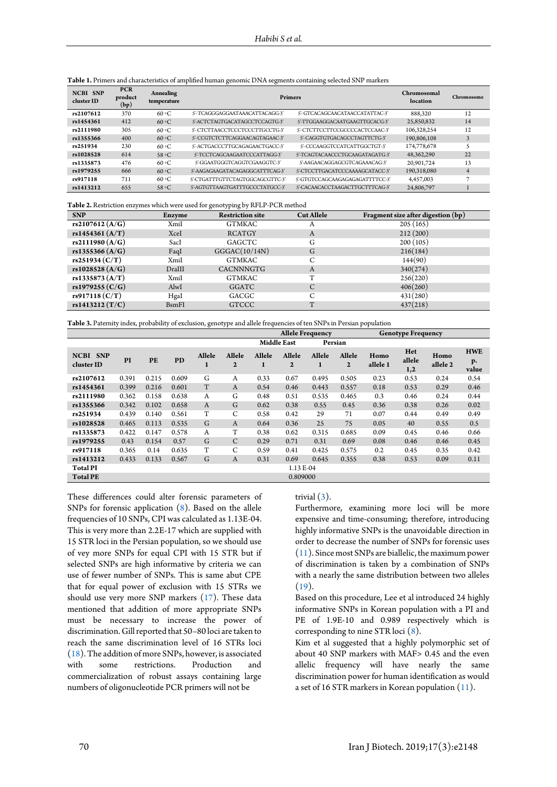| <b>NCBI SNP</b><br>cluster ID | <b>PCR</b><br>product<br>(bp) | Annealing<br>temperature | <b>Primers</b>                  | Chromosomal<br>location         | Chromosome  |    |
|-------------------------------|-------------------------------|--------------------------|---------------------------------|---------------------------------|-------------|----|
| rs2107612                     | 370                           | 60 °C                    | S'-TCAGGGAGGAATAAACATTACAGG-3'  | 5'-GTCACAGCAACATAACCATATTAC-3'  | 888.320     | 12 |
| rs1454361                     | 412                           | 60 °C                    | S'-ACTCTAGTGACATAGCCTCCAGTG-3'  | 5'-TTGGAAGGACAATGAAGTTGCACG-3'  | 25,850,832  | 14 |
| rs2111980                     | 305                           | 60 °C                    | 5'-CTCTTAACCTCCCTCCCTTGCCTG-3'  | S'-CTCTTCCTTCCGCCCCACTCCAAC-3'  | 106,328,254 | 12 |
| rs1355366                     | 400                           | 60 °C                    | S'-CCGTCTCTTCAGGAACAGTAGAAC-3'  | S'-CAGGTGTGACAGCCTAGTTCTG-3'    | 190,806,108 | 3  |
| rs251934                      | 230                           | 60 °C                    | 5'-ACTGACCCTTGCAGAGAACTGACC-3'  | 5'-CCCAAGGTCCATCATTGGCTGT-3'    | 174,778,678 |    |
| rs1028528                     | 614                           | 58 °C                    | S'-TCCTCAGCAAGAATCCCATTAGG-3'   | S'-TCAGTACAACCCTGCAAGATAGATG-3' | 48,362,290  | 22 |
| rs1335873                     | 476                           | 60 °C                    | S'-GGAATGGGTCAGGTCGAAGGTC-3'    | 5'-AAGAACAGGAGCGTCAGAAACAG-3'   | 20.901.724  | 13 |
| rs1979255                     | 666                           | 60 °C                    | 5'-AAGAGAAGATACAGAGGCATTTCAG-3' | S'-CTCCTTGACATCCCAAAAGCATACC-3' | 190.318.080 | 4  |
| rs917118                      | 711                           | 60 °C                    | 5'-CTGATTTGTTCTAGTGGCAGCGTTC-3' | S'-GTGTCCAGCAAGAGAGAGATTTTCC-3' | 4,457,003   |    |
| rs1413212                     | 655                           | $58 \, \circ C$          | 5'-AGTGTTAAGTGATTTGCCCTATGCC-3' | 5'-CACAACACCTAAGACTTGCTTTCAG-3' | 24,806,797  |    |

<span id="page-2-0"></span>**Table 1.** Primers and characteristics of amplified human genomic DNA segments containing selected SNP markers

<span id="page-2-1"></span>**Table 2.** Restriction enzymes which were used for genotyping by RFLP-PCR method

| <b>SNP</b>        | Enzyme        | $\omega$<br>$\sqrt{1}$ $\sqrt{2}$ $\sqrt{2}$<br><b>Restriction site</b> | <b>Cut Allele</b> | Fragment size after digestion (bp) |
|-------------------|---------------|-------------------------------------------------------------------------|-------------------|------------------------------------|
| rs2107612 $(A/G)$ | XmiI          | GTMKAC                                                                  | A                 | 205(165)                           |
| rs1454361 $(A/T)$ | XceI          | <b>RCATGY</b>                                                           | A                 | 212(200)                           |
| rs2111980 (A/G)   | SacI          | GAGCTC                                                                  | G                 | 200(105)                           |
| rs1355366 $(A/G)$ | FaqI          | GGGAC(10/14N)                                                           | G                 | 216(184)                           |
| rs251934 (C/T)    | XmiI          | GTMKAC                                                                  | С                 | 144(90)                            |
| rs1028528 (A/G)   | DraIII        | <b>CACNNNGTG</b>                                                        | A                 | 340(274)                           |
| rs1335873 (A/T)   | XmiI          | GTMKAC                                                                  | T                 | 256(220)                           |
| rs1979255 $(C/G)$ | AlwI          | GGATC                                                                   | C                 | 406(260)                           |
| rs917118 (C/T)    | HgaI          | GACGC                                                                   |                   | 431(280)                           |
| rs1413212 $(T/C)$ | <b>B</b> smFI | <b>GTCCC</b>                                                            | T                 | 437(218)                           |

<span id="page-2-2"></span>**Table 3.** Paternity index, probability of exclusion, genotype and allele frequencies of ten SNPs in Persian population

|                               |           |       |           |              |                          | <b>Allele Frequency</b>       |                          |             | <b>Genotype Frequency</b> |                  |                      |                  |                           |
|-------------------------------|-----------|-------|-----------|--------------|--------------------------|-------------------------------|--------------------------|-------------|---------------------------|------------------|----------------------|------------------|---------------------------|
|                               |           |       |           |              |                          | <b>Middle East</b><br>Persian |                          |             |                           |                  |                      |                  |                           |
| <b>NCBI SNP</b><br>cluster ID | PI        | PE    | <b>PD</b> | Allele<br>1  | Allele<br>$\overline{2}$ | Allele<br>1                   | Allele<br>$\overline{2}$ | Allele<br>1 | Allele<br>$\mathbf{2}$    | Homo<br>allele 1 | Het<br>allele<br>1,2 | Homo<br>allele 2 | <b>HWE</b><br>р.<br>value |
| rs2107612                     | 0.391     | 0.215 | 0.609     | G            | A                        | 0.33                          | 0.67                     | 0.495       | 0.505                     | 0.23             | 0.53                 | 0.24             | 0.54                      |
| rs1454361                     | 0.399     | 0.216 | 0.601     | T            | $\mathbf{A}$             | 0.54                          | 0.46                     | 0.443       | 0.557                     | 0.18             | 0.53                 | 0.29             | 0.46                      |
| rs2111980                     | 0.362     | 0.158 | 0.638     | $\mathbf{A}$ | G                        | 0.48                          | 0.51                     | 0.535       | 0.465                     | 0.3              | 0.46                 | 0.24             | 0.44                      |
| rs1355366                     | 0.342     | 0.102 | 0.658     | $\mathbf{A}$ | G                        | 0.62                          | 0.38                     | 0.55        | 0.45                      | 0.36             | 0.38                 | 0.26             | 0.02                      |
| rs251934                      | 0.439     | 0.140 | 0.561     | T            | C                        | 0.58                          | 0.42                     | 29          | 71                        | 0.07             | 0.44                 | 0.49             | 0.49                      |
| rs1028528                     | 0.465     | 0.113 | 0.535     | G            | $\mathbf{A}$             | 0.64                          | 0.36                     | 25          | 75                        | 0.05             | 40                   | 0.55             | 0.5                       |
| rs1335873                     | 0.422     | 0.147 | 0.578     | $\mathbf{A}$ | T                        | 0.38                          | 0.62                     | 0.315       | 0.685                     | 0.09             | 0.45                 | 0.46             | 0.66                      |
| rs1979255                     | 0.43      | 0.154 | 0.57      | G            | $\mathsf{C}$             | 0.29                          | 0.71                     | 0.31        | 0.69                      | 0.08             | 0.46                 | 0.46             | 0.45                      |
| rs917118                      | 0.365     | 0.14  | 0.635     | T            | C                        | 0.59                          | 0.41                     | 0.425       | 0.575                     | 0.2              | 0.45                 | 0.35             | 0.42                      |
| rs1413212                     | 0.433     | 0.133 | 0.567     | G            | A                        | 0.31                          | 0.69                     | 0.645       | 0.355                     | 0.38             | 0.53                 | 0.09             | 0.11                      |
| <b>Total PI</b>               | 1.13 E-04 |       |           |              |                          |                               |                          |             |                           |                  |                      |                  |                           |
| <b>Total PE</b>               | 0.809000  |       |           |              |                          |                               |                          |             |                           |                  |                      |                  |                           |

These differences could alter forensic parameters of SNPs for forensic application [\(8\)](#page-3-7). Based on the allele frequencies of 10 SNPs, CPI was calculated as 1.13E-04. This is very more than 2.2E-17 which are supplied with 15 STR loci in the Persian population, so we should use of vey more SNPs for equal CPI with 15 STR but if selected SNPs are high informative by criteria we can use of fewer number of SNPs. This is same abut CPE that for equal power of exclusion with 15 STRs we should use very more SNP markers [\(17\)](#page-3-16). These data mentioned that addition of more appropriate SNPs must be necessary to increase the power of discrimination. Gill reported that 50–80 loci are taken to reach the same discrimination level of 16 STRs loci [\(18\)](#page-3-17).The addition of more SNPs, however, is associated with some restrictions. Production and commercialization of robust assays containing large numbers of oligonucleotide PCR primers will not be

#### trivial  $(3)$ .

Furthermore, examining more loci will be more expensive and time-consuming; therefore, introducing highly informative SNPs is the unavoidable direction in order to decrease the number of SNPs for forensic uses [\(11\)](#page-3-10). Since most SNPs are biallelic, the maximum power of discrimination is taken by a combination of SNPs with a nearly the same distribution between two alleles  $(19).$  $(19).$ 

Based on this procedure, Lee et al introduced 24 highly informative SNPs in Korean population with a PI and PE of 1.9E-10 and 0.989 respectively which is corresponding to nine STR loci [\(8\)](#page-3-7).

Kim et al suggested that a highly polymorphic set of about 40 SNP markers with MAF> 0.45 and the even allelic frequency will have nearly the same discrimination power for human identification as would a set of 16 STR markers in Korean population [\(11\)](#page-3-10).